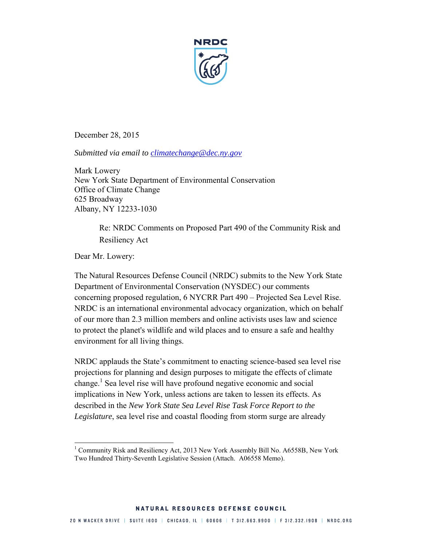

December 28, 2015

*Submitted via email to [climatechange@dec.ny.gov](mailto:climatechange@dec.ny.gov)*

Mark Lowery New York State Department of Environmental Conservation Office of Climate Change 625 Broadway Albany, NY 12233-1030

> Re: NRDC Comments on Proposed Part 490 of the Community Risk and Resiliency Act

Dear Mr. Lowery:

The Natural Resources Defense Council (NRDC) submits to the New York State Department of Environmental Conservation (NYSDEC) our comments concerning proposed regulation, 6 NYCRR Part 490 – Projected Sea Level Rise. NRDC is an international environmental advocacy organization, which on behalf of our more than 2.3 million members and online activists uses law and science to protect the planet's wildlife and wild places and to ensure a safe and healthy environment for all living things.

NRDC applauds the State's commitment to enacting science-based sea level rise projections for planning and design purposes to mitigate the effects of climate change.<sup>1</sup> Sea level rise will have profound negative economic and social implications in New York, unless actions are taken to lessen its effects. As described in the *New York State Sea Level Rise Task Force Report to the Legislature*, sea level rise and coastal flooding from storm surge are already

 $\overline{\phantom{a}}$ <sup>1</sup> Community Risk and Resiliency Act, 2013 New York Assembly Bill No. A6558B, New York Two Hundred Thirty-Seventh Legislative Session (Attach. A06558 Memo).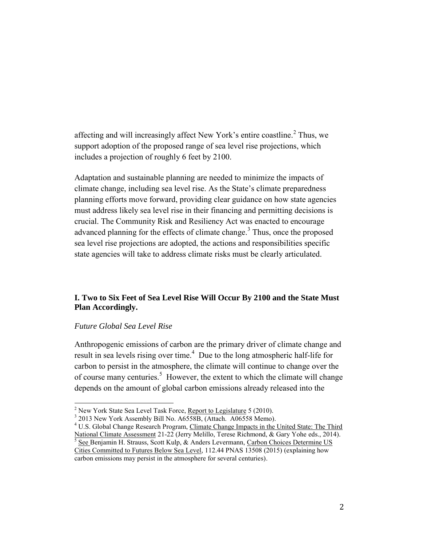affecting and will increasingly affect New York's entire coastline.<sup>2</sup> Thus, we support adoption of the proposed range of sea level rise projections, which includes a projection of roughly 6 feet by 2100.

Adaptation and sustainable planning are needed to minimize the impacts of climate change, including sea level rise. As the State's climate preparedness planning efforts move forward, providing clear guidance on how state agencies must address likely sea level rise in their financing and permitting decisions is crucial. The Community Risk and Resiliency Act was enacted to encourage advanced planning for the effects of climate change.<sup>3</sup> Thus, once the proposed sea level rise projections are adopted, the actions and responsibilities specific state agencies will take to address climate risks must be clearly articulated.

# **I. Two to Six Feet of Sea Level Rise Will Occur By 2100 and the State Must Plan Accordingly.**

### *Future Global Sea Level Rise*

 $\overline{\phantom{a}}$ 

Anthropogenic emissions of carbon are the primary driver of climate change and result in sea levels rising over time.<sup>4</sup> Due to the long atmospheric half-life for carbon to persist in the atmosphere, the climate will continue to change over the of course many centuries.<sup>5</sup> However, the extent to which the climate will change depends on the amount of global carbon emissions already released into the

<sup>&</sup>lt;sup>2</sup> New York State Sea Level Task Force, Report to Legislature 5 (2010).

<sup>&</sup>lt;sup>3</sup> 2013 New York Assembly Bill No. A6558B, (Attach. A06558 Memo).

<sup>&</sup>lt;sup>4</sup> U.S. Global Change Research Program, Climate Change Impacts in the United State: The Third National Climate Assessment 21-22 (Jerry Melillo, Terese Richmond, & Gary Yohe eds., 2014). 5 See Benjamin H. Strauss, Scott Kulp, & Anders Levermann, Carbon Choices Determine US Cities Committed to Futures Below Sea Level, 112.44 PNAS 13508 (2015) (explaining how

carbon emissions may persist in the atmosphere for several centuries).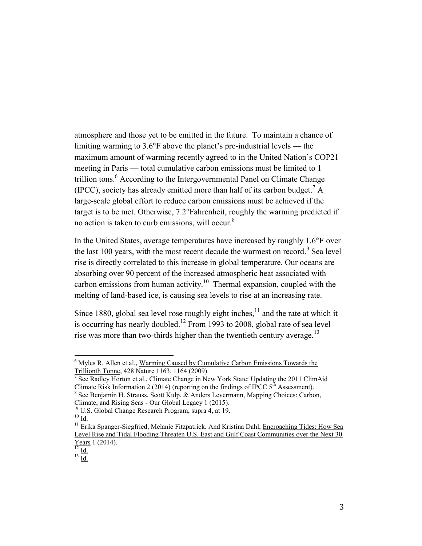atmosphere and those yet to be emitted in the future. To maintain a chance of limiting warming to 3.6°F above the planet's pre-industrial levels — the maximum amount of warming recently agreed to in the United Nation's COP21 meeting in Paris — total cumulative carbon emissions must be limited to 1 trillion tons.<sup>6</sup> According to the Intergovernmental Panel on Climate Change (IPCC), society has already emitted more than half of its carbon budget.<sup>7</sup> A large-scale global effort to reduce carbon emissions must be achieved if the target is to be met. Otherwise, 7.2°Fahrenheit, roughly the warming predicted if no action is taken to curb emissions, will occur. $8$ 

In the United States, average temperatures have increased by roughly 1.6°F over the last 100 years, with the most recent decade the warmest on record.<sup>9</sup> Sea level rise is directly correlated to this increase in global temperature. Our oceans are absorbing over 90 percent of the increased atmospheric heat associated with carbon emissions from human activity.<sup>10</sup> Thermal expansion, coupled with the melting of land-based ice, is causing sea levels to rise at an increasing rate.

Since 1880, global sea level rose roughly eight inches, $11$  and the rate at which it is occurring has nearly doubled.<sup>12</sup> From 1993 to 2008, global rate of sea level rise was more than two-thirds higher than the twentieth century average.<sup>13</sup>

 $\overline{\phantom{a}}$ 

<sup>&</sup>lt;sup>6</sup> Myles R. Allen et al., Warming Caused by Cumulative Carbon Emissions Towards the Trillionth Tonne, 428 Nature 1163. 1164 (2009)

<sup>7</sup> See Radley Horton et al., Climate Change in New York State: Updating the 2011 ClimAid Climate Risk Information 2 (2014) (reporting on the findings of IPCC  $5<sup>th</sup>$  Assessment). <sup>8</sup> See Benjamin H. Strauss, Scott Kulp, & Anders Levermann, Mapping Choices: Carbon,

Climate, and Rising Seas - Our Global Legacy 1 (2015).

<sup>&</sup>lt;sup>9</sup> U.S. Global Change Research Program, supra 4, at 19.

 $10$  Id.

 $11$  Erika Spanger-Siegfried, Melanie Fitzpatrick. And Kristina Dahl, Encroaching Tides: How Sea Level Rise and Tidal Flooding Threaten U.S. East and Gulf Coast Communities over the Next 30 Years 1 (2014).

 $^{12}$  Id.

 $^{13}$   $\overline{\text{Id.}}$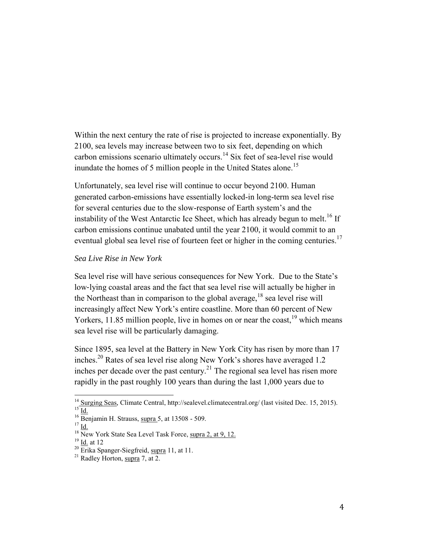Within the next century the rate of rise is projected to increase exponentially. By 2100, sea levels may increase between two to six feet, depending on which carbon emissions scenario ultimately occurs.<sup>14</sup> Six feet of sea-level rise would inundate the homes of 5 million people in the United States alone.<sup>15</sup>

Unfortunately, sea level rise will continue to occur beyond 2100. Human generated carbon-emissions have essentially locked-in long-term sea level rise for several centuries due to the slow-response of Earth system's and the instability of the West Antarctic Ice Sheet, which has already begun to melt.<sup>16</sup> If carbon emissions continue unabated until the year 2100, it would commit to an eventual global sea level rise of fourteen feet or higher in the coming centuries.<sup>17</sup>

#### *Sea Live Rise in New York*

Sea level rise will have serious consequences for New York. Due to the State's low‐lying coastal areas and the fact that sea level rise will actually be higher in the Northeast than in comparison to the global average,  $^{18}$  sea level rise will increasingly affect New York's entire coastline. More than 60 percent of New Yorkers,  $11.85$  million people, live in homes on or near the coast.<sup>19</sup> which means sea level rise will be particularly damaging.

Since 1895, sea level at the Battery in New York City has risen by more than 17 inches.<sup>20</sup> Rates of sea level rise along New York's shores have averaged 1.2 inches per decade over the past century.<sup>21</sup> The regional sea level has risen more rapidly in the past roughly 100 years than during the last 1,000 years due to

l

<sup>&</sup>lt;sup>14</sup> Surging Seas, Climate Central, http://sealevel.climatecentral.org/ (last visited Dec. 15, 2015).  $^{15}$  Id.

 $16$  Benjamin H. Strauss, supra 5, at 13508 - 509.

 $17 \underline{\text{Id}}$ .

 $18 \text{ New York State Sea Level Task Force, supra 2, at 9, 12.}$ 

 $^{19}$  Id. at 12  $\,$ 

 $20$  Erika Spanger-Siegfreid, supra 11, at 11.

<sup>&</sup>lt;sup>21</sup> Radley Horton, supra 7, at  $2$ .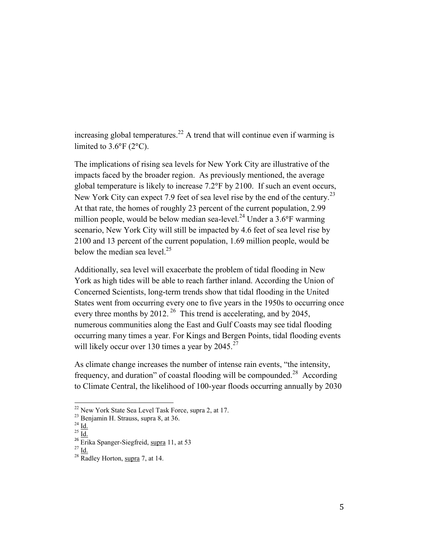increasing global temperatures.<sup>22</sup> A trend that will continue even if warming is limited to  $3.6^{\circ}F(2^{\circ}C)$ .

The implications of rising sea levels for New York City are illustrative of the impacts faced by the broader region. As previously mentioned, the average global temperature is likely to increase 7.2°F by 2100. If such an event occurs, New York City can expect 7.9 feet of sea level rise by the end of the century.<sup>23</sup> At that rate, the homes of roughly 23 percent of the current population, 2.99 million people, would be below median sea-level.<sup>24</sup> Under a  $3.6^{\circ}$ F warming scenario, New York City will still be impacted by 4.6 feet of sea level rise by 2100 and 13 percent of the current population, 1.69 million people, would be below the median sea level. $25$ 

Additionally, sea level will exacerbate the problem of tidal flooding in New York as high tides will be able to reach farther inland. According the Union of Concerned Scientists, long-term trends show that tidal flooding in the United States went from occurring every one to five years in the 1950s to occurring once every three months by 2012.<sup>26</sup> This trend is accelerating, and by 2045, numerous communities along the East and Gulf Coasts may see tidal flooding occurring many times a year. For Kings and Bergen Points, tidal flooding events will likely occur over 130 times a year by  $2045.^{27}$ 

As climate change increases the number of intense rain events, "the intensity, frequency, and duration" of coastal flooding will be compounded.<sup>28</sup> According to Climate Central, the likelihood of 100-year floods occurring annually by 2030

<sup>&</sup>lt;sup>22</sup> New York State Sea Level Task Force, supra 2, at 17.

<sup>23</sup> Benjamin H. Strauss, supra 8, at 36.

 $^{24}$  Id.

 $25 \overline{1d}$ .

 $26$  Erika Spanger-Siegfreid, supra 11, at 53

 $^{27}$  Id.

 $28 \overline{\text{Radley Horton}}$ , supra 7, at 14.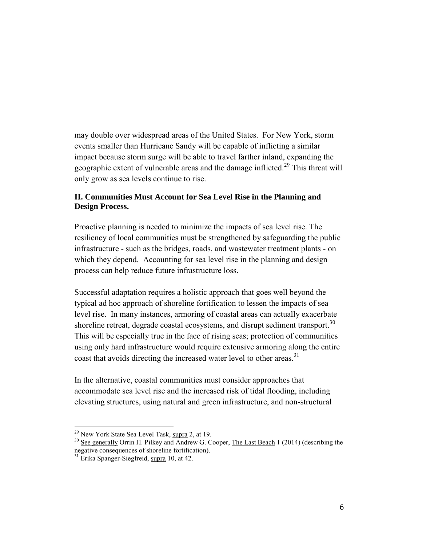may double over widespread areas of the United States. For New York, storm events smaller than Hurricane Sandy will be capable of inflicting a similar impact because storm surge will be able to travel farther inland, expanding the geographic extent of vulnerable areas and the damage inflicted.<sup>29</sup> This threat will only grow as sea levels continue to rise.

### **II. Communities Must Account for Sea Level Rise in the Planning and Design Process.**

Proactive planning is needed to minimize the impacts of sea level rise. The resiliency of local communities must be strengthened by safeguarding the public infrastructure - such as the bridges, roads, and wastewater treatment plants - on which they depend. Accounting for sea level rise in the planning and design process can help reduce future infrastructure loss.

Successful adaptation requires a holistic approach that goes well beyond the typical ad hoc approach of shoreline fortification to lessen the impacts of sea level rise. In many instances, armoring of coastal areas can actually exacerbate shoreline retreat, degrade coastal ecosystems, and disrupt sediment transport.<sup>30</sup> This will be especially true in the face of rising seas; protection of communities using only hard infrastructure would require extensive armoring along the entire coast that avoids directing the increased water level to other areas.<sup>31</sup>

In the alternative, coastal communities must consider approaches that accommodate sea level rise and the increased risk of tidal flooding, including elevating structures, using natural and green infrastructure, and non-structural

 $^{29}$  New York State Sea Level Task, supra 2, at 19.

<sup>&</sup>lt;sup>30</sup> See generally Orrin H. Pilkey and Andrew G. Cooper, The Last Beach 1 (2014) (describing the negative consequences of shoreline fortification).

 $31$  Erika Spanger-Siegfreid, supra 10, at 42.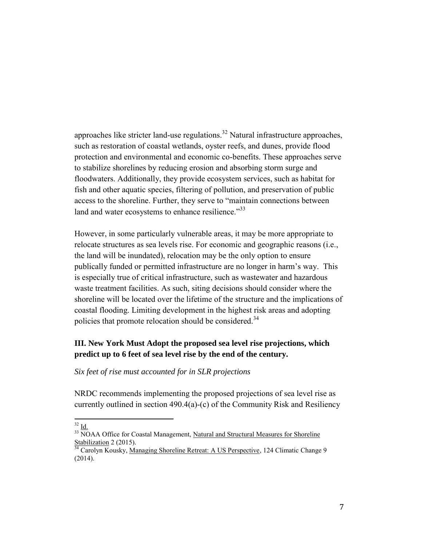approaches like stricter land-use regulations. $32$  Natural infrastructure approaches, such as restoration of coastal wetlands, oyster reefs, and dunes, provide flood protection and environmental and economic co-benefits. These approaches serve to stabilize shorelines by reducing erosion and absorbing storm surge and floodwaters. Additionally, they provide ecosystem services, such as habitat for fish and other aquatic species, filtering of pollution, and preservation of public access to the shoreline. Further, they serve to "maintain connections between land and water ecosystems to enhance resilience.<sup>33</sup>

However, in some particularly vulnerable areas, it may be more appropriate to relocate structures as sea levels rise. For economic and geographic reasons (i.e., the land will be inundated), relocation may be the only option to ensure publically funded or permitted infrastructure are no longer in harm's way. This is especially true of critical infrastructure, such as wastewater and hazardous waste treatment facilities. As such, siting decisions should consider where the shoreline will be located over the lifetime of the structure and the implications of coastal flooding. Limiting development in the highest risk areas and adopting policies that promote relocation should be considered.<sup>34</sup>

## **III. New York Must Adopt the proposed sea level rise projections, which predict up to 6 feet of sea level rise by the end of the century.**

*Six feet of rise must accounted for in SLR projections* 

NRDC recommends implementing the proposed projections of sea level rise as currently outlined in section 490.4(a)-(c) of the Community Risk and Resiliency

l  $32 \underline{\mathsf{Id}}$ .

 $33$  NOAA Office for Coastal Management, Natural and Structural Measures for Shoreline  $\frac{1}{34}$  Carry 2 (2015).

<sup>34</sup> Carolyn Kousky, Managing Shoreline Retreat: A US Perspective, 124 Climatic Change 9 (2014).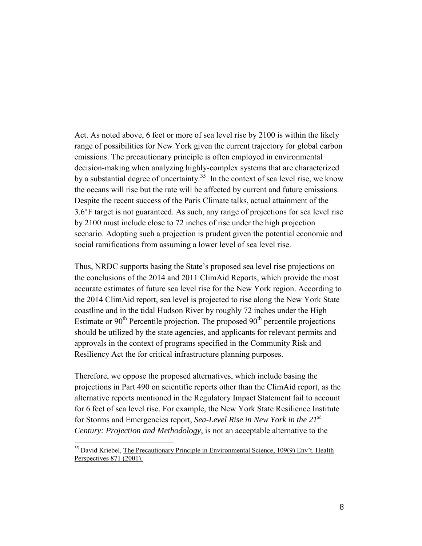Act. As noted above, 6 feet or more of sea level rise by 2100 is within the likely range of possibilities for New York given the current trajectory for global carbon emissions. The precautionary principle is often employed in environmental decision-making when analyzing highly-complex systems that are characterized by a substantial degree of uncertainty.<sup>35</sup> In the context of sea level rise, we know the oceans will rise but the rate will be affected by current and future emissions. Despite the recent success of the Paris Climate talks, actual attainment of the 3.6°F target is not guaranteed. As such, any range of projections for sea level rise by 2100 must include close to 72 inches of rise under the high projection scenario. Adopting such a projection is prudent given the potential economic and social ramifications from assuming a lower level of sea level rise.

Thus, NRDC supports basing the State's proposed sea level rise projections on the conclusions of the 2014 and 2011 ClimAid Reports, which provide the most accurate estimates of future sea level rise for the New York region. According to the 2014 ClimAid report, sea level is projected to rise along the New York State coastline and in the tidal Hudson River by roughly 72 inches under the High Estimate or  $90<sup>th</sup>$  Percentile projection. The proposed  $90<sup>th</sup>$  percentile projections should be utilized by the state agencies, and applicants for relevant permits and approvals in the context of programs specified in the Community Risk and Resiliency Act the for critical infrastructure planning purposes.

Therefore, we oppose the proposed alternatives, which include basing the projections in Part 490 on scientific reports other than the ClimAid report, as the alternative reports mentioned in the Regulatory Impact Statement fail to account for 6 feet of sea level rise. For example, the New York State Resilience Institute for Storms and Emergencies report, *Sea-Level Rise in New York in the 21st Century: Projection and Methodology*, is not an acceptable alternative to the

<sup>&</sup>lt;sup>35</sup> David Kriebel, The Precautionary Principle in Environmental Science, 109(9) Env't. Health Perspectives 871 (2001).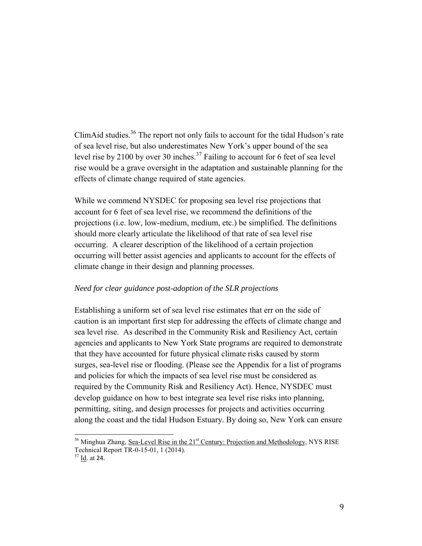ClimAid studies.<sup>36</sup> The report not only fails to account for the tidal Hudson's rate of sea level rise, but also underestimates New York's upper bound of the sea level rise by 2100 by over 30 inches.<sup>37</sup> Failing to account for 6 feet of sea level rise would be a grave oversight in the adaptation and sustainable planning for the effects of climate change required of state agencies.

While we commend NYSDEC for proposing sea level rise projections that account for 6 feet of sea level rise, we recommend the definitions of the projections (i.e. low, low-medium, medium, etc.) be simplified. The definitions should more clearly articulate the likelihood of that rate of sea level rise occurring. A clearer description of the likelihood of a certain projection occurring will better assist agencies and applicants to account for the effects of climate change in their design and planning processes.

### *Need for clear guidance post-adoption of the SLR projections*

Establishing a uniform set of sea level rise estimates that err on the side of caution is an important first step for addressing the effects of climate change and sea level rise. As described in the Community Risk and Resiliency Act, certain agencies and applicants to New York State programs are required to demonstrate that they have accounted for future physical climate risks caused by storm surges, sea-level rise or flooding. (Please see the Appendix for a list of programs and policies for which the impacts of sea level rise must be considered as required by the Community Risk and Resiliency Act). Hence, NYSDEC must develop guidance on how to best integrate sea level rise risks into planning, permitting, siting, and design processes for projects and activities occurring along the coast and the tidal Hudson Estuary. By doing so, New York can ensure

<sup>&</sup>lt;sup>36</sup> Minghua Zhang, Sea-Level Rise in the 21<sup>st</sup> Century: Projection and Methodology, NYS RISE Technical Report TR-0-15-01, 1 (2014).

 $37$  Id. at 24.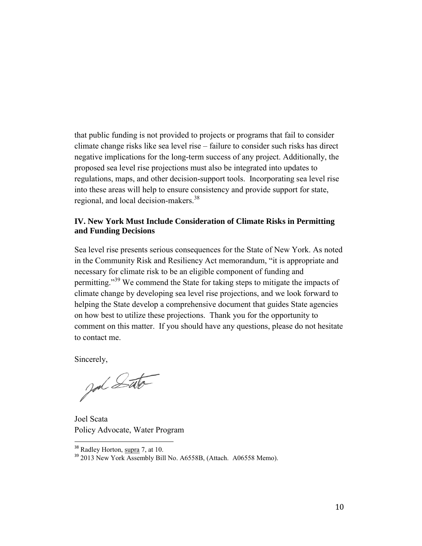that public funding is not provided to projects or programs that fail to consider climate change risks like sea level rise – failure to consider such risks has direct negative implications for the long-term success of any project. Additionally, the proposed sea level rise projections must also be integrated into updates to regulations, maps, and other decision-support tools. Incorporating sea level rise into these areas will help to ensure consistency and provide support for state, regional, and local decision-makers.<sup>38</sup>

### **IV. New York Must Include Consideration of Climate Risks in Permitting and Funding Decisions**

Sea level rise presents serious consequences for the State of New York. As noted in the Community Risk and Resiliency Act memorandum, "it is appropriate and necessary for climate risk to be an eligible component of funding and permitting."<sup>39</sup> We commend the State for taking steps to mitigate the impacts of climate change by developing sea level rise projections, and we look forward to helping the State develop a comprehensive document that guides State agencies on how best to utilize these projections. Thank you for the opportunity to comment on this matter. If you should have any questions, please do not hesitate to contact me.

Sincerely,

god Sato

Joel Scata Policy Advocate, Water Program

<sup>&</sup>lt;sup>38</sup> Radley Horton, supra 7, at 10.

<sup>&</sup>lt;sup>39</sup> 2013 New York Assembly Bill No. A6558B, (Attach. A06558 Memo).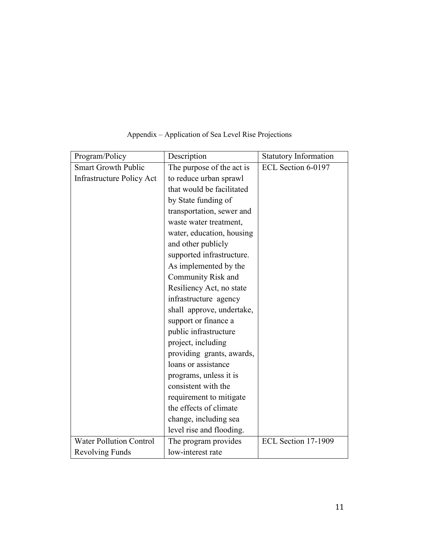| Program/Policy                   | Description               | <b>Statutory Information</b> |
|----------------------------------|---------------------------|------------------------------|
| <b>Smart Growth Public</b>       | The purpose of the act is | ECL Section 6-0197           |
| <b>Infrastructure Policy Act</b> | to reduce urban sprawl    |                              |
|                                  | that would be facilitated |                              |
|                                  | by State funding of       |                              |
|                                  | transportation, sewer and |                              |
|                                  | waste water treatment,    |                              |
|                                  | water, education, housing |                              |
|                                  | and other publicly        |                              |
|                                  | supported infrastructure. |                              |
|                                  | As implemented by the     |                              |
|                                  | Community Risk and        |                              |
|                                  | Resiliency Act, no state  |                              |
|                                  | infrastructure agency     |                              |
|                                  | shall approve, undertake, |                              |
|                                  | support or finance a      |                              |
|                                  | public infrastructure     |                              |
|                                  | project, including        |                              |
|                                  | providing grants, awards, |                              |
|                                  | loans or assistance       |                              |
|                                  | programs, unless it is    |                              |
|                                  | consistent with the       |                              |
|                                  | requirement to mitigate   |                              |
|                                  | the effects of climate    |                              |
|                                  | change, including sea     |                              |
|                                  | level rise and flooding.  |                              |
| <b>Water Pollution Control</b>   | The program provides      | ECL Section 17-1909          |
| <b>Revolving Funds</b>           | low-interest rate         |                              |

# Appendix – Application of Sea Level Rise Projections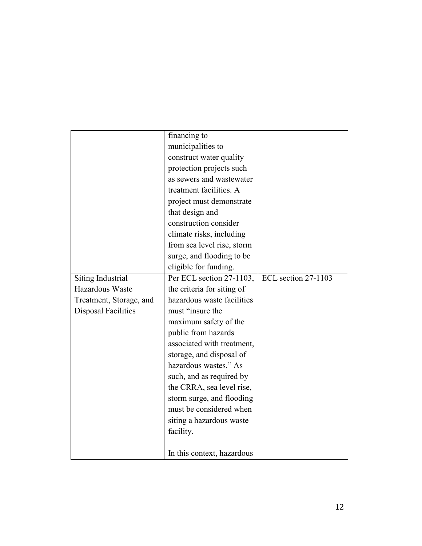|                            | financing to               |                     |
|----------------------------|----------------------------|---------------------|
|                            | municipalities to          |                     |
|                            | construct water quality    |                     |
|                            | protection projects such   |                     |
|                            | as sewers and wastewater   |                     |
|                            | treatment facilities. A    |                     |
|                            | project must demonstrate   |                     |
|                            | that design and            |                     |
|                            | construction consider      |                     |
|                            | climate risks, including   |                     |
|                            | from sea level rise, storm |                     |
|                            | surge, and flooding to be  |                     |
|                            | eligible for funding.      |                     |
| Siting Industrial          | Per ECL section 27-1103,   | ECL section 27-1103 |
| Hazardous Waste            | the criteria for siting of |                     |
| Treatment, Storage, and    | hazardous waste facilities |                     |
| <b>Disposal Facilities</b> | must "insure the           |                     |
|                            | maximum safety of the      |                     |
|                            | public from hazards        |                     |
|                            | associated with treatment, |                     |
|                            | storage, and disposal of   |                     |
|                            | hazardous wastes." As      |                     |
|                            | such, and as required by   |                     |
|                            | the CRRA, sea level rise,  |                     |
|                            | storm surge, and flooding  |                     |
|                            | must be considered when    |                     |
|                            | siting a hazardous waste   |                     |
|                            | facility.                  |                     |
|                            |                            |                     |
|                            | In this context, hazardous |                     |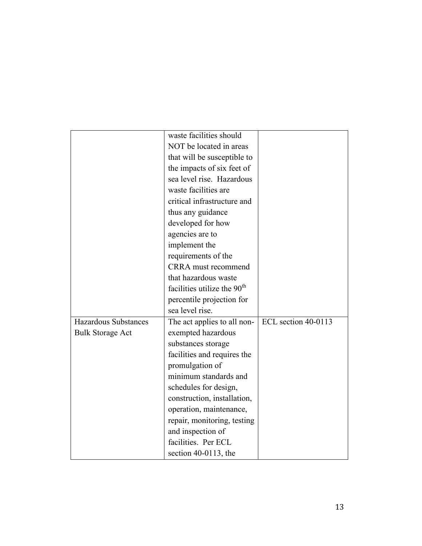|                             | waste facilities should                 |                     |
|-----------------------------|-----------------------------------------|---------------------|
|                             | NOT be located in areas                 |                     |
|                             | that will be susceptible to             |                     |
|                             | the impacts of six feet of              |                     |
|                             | sea level rise. Hazardous               |                     |
|                             | waste facilities are                    |                     |
|                             | critical infrastructure and             |                     |
|                             | thus any guidance                       |                     |
|                             | developed for how                       |                     |
|                             | agencies are to                         |                     |
|                             | implement the                           |                     |
|                             | requirements of the                     |                     |
|                             | CRRA must recommend                     |                     |
|                             | that hazardous waste                    |                     |
|                             | facilities utilize the 90 <sup>th</sup> |                     |
|                             | percentile projection for               |                     |
|                             | sea level rise.                         |                     |
| <b>Hazardous Substances</b> | The act applies to all non-             | ECL section 40-0113 |
| <b>Bulk Storage Act</b>     | exempted hazardous                      |                     |
|                             | substances storage                      |                     |
|                             | facilities and requires the             |                     |
|                             | promulgation of                         |                     |
|                             | minimum standards and                   |                     |
|                             | schedules for design,                   |                     |
|                             | construction, installation,             |                     |
|                             | operation, maintenance,                 |                     |
|                             | repair, monitoring, testing             |                     |
|                             | and inspection of                       |                     |
|                             | facilities. Per ECL                     |                     |
|                             | section $40-0113$ , the                 |                     |
|                             |                                         |                     |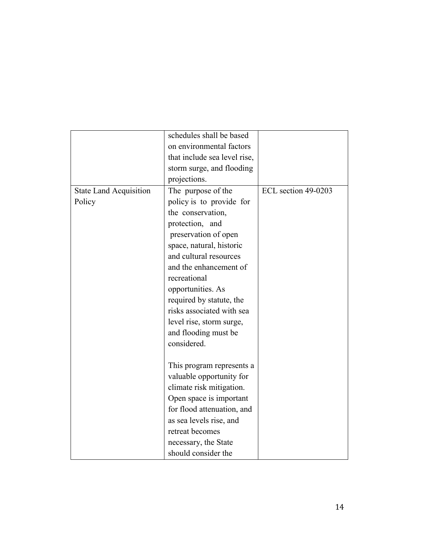| schedules shall be based<br>on environmental factors<br>that include sea level rise, |
|--------------------------------------------------------------------------------------|
|                                                                                      |
|                                                                                      |
|                                                                                      |
| storm surge, and flooding                                                            |
| projections.                                                                         |
| ECL section 49-0203<br><b>State Land Acquisition</b><br>The purpose of the           |
| policy is to provide for<br>Policy                                                   |
| the conservation,                                                                    |
| protection, and                                                                      |
| preservation of open                                                                 |
| space, natural, historic                                                             |
| and cultural resources                                                               |
| and the enhancement of                                                               |
| recreational                                                                         |
| opportunities. As                                                                    |
| required by statute, the                                                             |
| risks associated with sea                                                            |
| level rise, storm surge,                                                             |
| and flooding must be                                                                 |
| considered.                                                                          |
|                                                                                      |
| This program represents a                                                            |
| valuable opportunity for                                                             |
| climate risk mitigation.                                                             |
| Open space is important                                                              |
| for flood attenuation, and                                                           |
| as sea levels rise, and                                                              |
| retreat becomes                                                                      |
| necessary, the State                                                                 |
| should consider the                                                                  |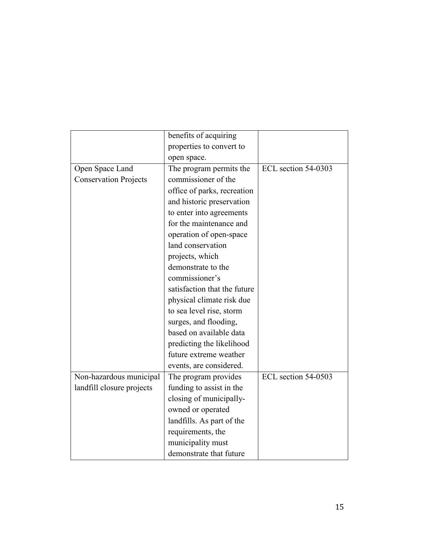|                              | benefits of acquiring        |                     |
|------------------------------|------------------------------|---------------------|
|                              | properties to convert to     |                     |
|                              | open space.                  |                     |
| Open Space Land              | The program permits the      | ECL section 54-0303 |
| <b>Conservation Projects</b> | commissioner of the          |                     |
|                              | office of parks, recreation  |                     |
|                              | and historic preservation    |                     |
|                              | to enter into agreements     |                     |
|                              | for the maintenance and      |                     |
|                              | operation of open-space      |                     |
|                              | land conservation            |                     |
|                              | projects, which              |                     |
|                              | demonstrate to the           |                     |
|                              | commissioner's               |                     |
|                              | satisfaction that the future |                     |
|                              | physical climate risk due    |                     |
|                              | to sea level rise, storm     |                     |
|                              | surges, and flooding,        |                     |
|                              | based on available data      |                     |
|                              | predicting the likelihood    |                     |
|                              | future extreme weather       |                     |
|                              | events, are considered.      |                     |
| Non-hazardous municipal      | The program provides         | ECL section 54-0503 |
| landfill closure projects    | funding to assist in the     |                     |
|                              | closing of municipally-      |                     |
|                              | owned or operated            |                     |
|                              | landfills. As part of the    |                     |
|                              | requirements, the            |                     |
|                              | municipality must            |                     |
|                              | demonstrate that future      |                     |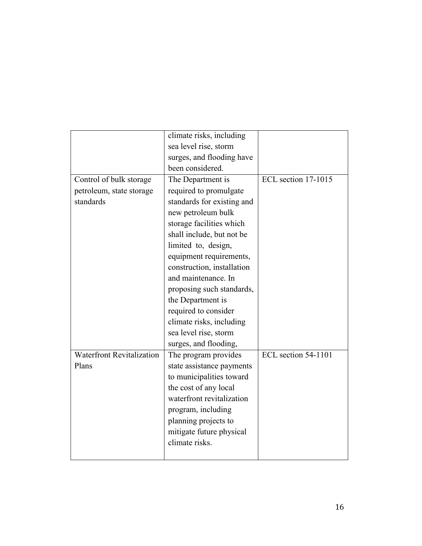|                                  | climate risks, including   |                     |
|----------------------------------|----------------------------|---------------------|
|                                  | sea level rise, storm      |                     |
|                                  | surges, and flooding have  |                     |
|                                  | been considered.           |                     |
| Control of bulk storage          | The Department is          | ECL section 17-1015 |
| petroleum, state storage         | required to promulgate     |                     |
| standards                        | standards for existing and |                     |
|                                  | new petroleum bulk         |                     |
|                                  | storage facilities which   |                     |
|                                  | shall include, but not be  |                     |
|                                  | limited to, design,        |                     |
|                                  | equipment requirements,    |                     |
|                                  | construction, installation |                     |
|                                  | and maintenance. In        |                     |
|                                  | proposing such standards,  |                     |
|                                  | the Department is          |                     |
|                                  | required to consider       |                     |
|                                  | climate risks, including   |                     |
|                                  | sea level rise, storm      |                     |
|                                  | surges, and flooding,      |                     |
| <b>Waterfront Revitalization</b> | The program provides       | ECL section 54-1101 |
| Plans                            | state assistance payments  |                     |
|                                  | to municipalities toward   |                     |
|                                  | the cost of any local      |                     |
|                                  | waterfront revitalization  |                     |
|                                  | program, including         |                     |
|                                  | planning projects to       |                     |
|                                  | mitigate future physical   |                     |
|                                  | climate risks.             |                     |
|                                  |                            |                     |
|                                  |                            |                     |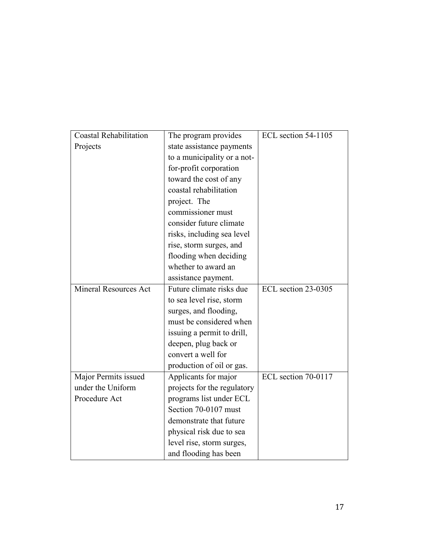| <b>Coastal Rehabilitation</b> | The program provides        | ECL section 54-1105 |
|-------------------------------|-----------------------------|---------------------|
| Projects                      | state assistance payments   |                     |
|                               | to a municipality or a not- |                     |
|                               | for-profit corporation      |                     |
|                               | toward the cost of any      |                     |
|                               | coastal rehabilitation      |                     |
|                               | project. The                |                     |
|                               | commissioner must           |                     |
|                               | consider future climate     |                     |
|                               | risks, including sea level  |                     |
|                               | rise, storm surges, and     |                     |
|                               | flooding when deciding      |                     |
|                               | whether to award an         |                     |
|                               | assistance payment.         |                     |
| <b>Mineral Resources Act</b>  | Future climate risks due    | ECL section 23-0305 |
|                               | to sea level rise, storm    |                     |
|                               | surges, and flooding,       |                     |
|                               | must be considered when     |                     |
|                               | issuing a permit to drill,  |                     |
|                               | deepen, plug back or        |                     |
|                               | convert a well for          |                     |
|                               | production of oil or gas.   |                     |
| Major Permits issued          | Applicants for major        | ECL section 70-0117 |
| under the Uniform             | projects for the regulatory |                     |
| Procedure Act                 | programs list under ECL     |                     |
|                               | Section 70-0107 must        |                     |
|                               | demonstrate that future     |                     |
|                               | physical risk due to sea    |                     |
|                               | level rise, storm surges,   |                     |
|                               | and flooding has been       |                     |